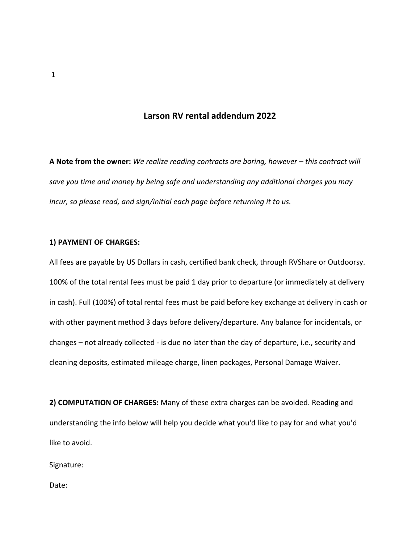## **Larson RV rental addendum 2022**

A Note from the owner: We realize reading contracts are boring, however - this contract will *save you time and money by being safe and understanding any additional charges you may incur, so please read, and sign/initial each page before returning it to us.*

#### **1) PAYMENT OF CHARGES:**

All fees are payable by US Dollars in cash, certified bank check, through RVShare or Outdoorsy. 100% of the total rental fees must be paid 1 day prior to departure (or immediately at delivery in cash). Full (100%) of total rental fees must be paid before key exchange at delivery in cash or with other payment method 3 days before delivery/departure. Any balance for incidentals, or changes – not already collected - is due no later than the day of departure, i.e., security and cleaning deposits, estimated mileage charge, linen packages, Personal Damage Waiver.

**2) COMPUTATION OF CHARGES:** Many of these extra charges can be avoided. Reading and understanding the info below will help you decide what you'd like to pay for and what you'd like to avoid.

Signature: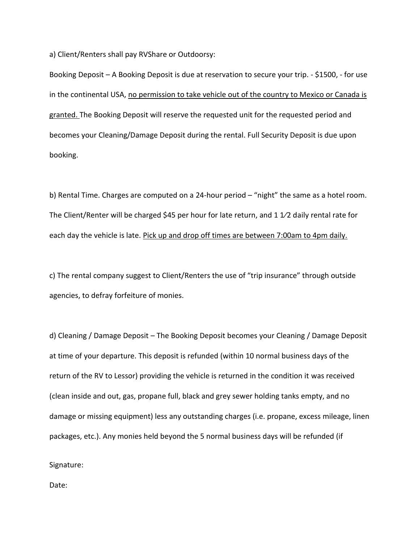a) Client/Renters shall pay RVShare or Outdoorsy:

Booking Deposit – A Booking Deposit is due at reservation to secure your trip. - \$1500, - for use in the continental USA, no permission to take vehicle out of the country to Mexico or Canada is granted. The Booking Deposit will reserve the requested unit for the requested period and becomes your Cleaning/Damage Deposit during the rental. Full Security Deposit is due upon booking.

b) Rental Time. Charges are computed on a 24-hour period – "night" the same as a hotel room. The Client/Renter will be charged \$45 per hour for late return, and 1 1⁄2 daily rental rate for each day the vehicle is late. Pick up and drop off times are between 7:00am to 4pm daily.

c) The rental company suggest to Client/Renters the use of "trip insurance" through outside agencies, to defray forfeiture of monies.

d) Cleaning / Damage Deposit – The Booking Deposit becomes your Cleaning / Damage Deposit at time of your departure. This deposit is refunded (within 10 normal business days of the return of the RV to Lessor) providing the vehicle is returned in the condition it was received (clean inside and out, gas, propane full, black and grey sewer holding tanks empty, and no damage or missing equipment) less any outstanding charges (i.e. propane, excess mileage, linen packages, etc.). Any monies held beyond the 5 normal business days will be refunded (if

Signature: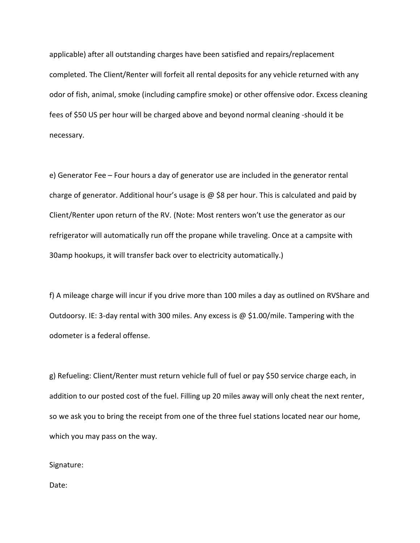applicable) after all outstanding charges have been satisfied and repairs/replacement completed. The Client/Renter will forfeit all rental deposits for any vehicle returned with any odor of fish, animal, smoke (including campfire smoke) or other offensive odor. Excess cleaning fees of \$50 US per hour will be charged above and beyond normal cleaning -should it be necessary.

e) Generator Fee – Four hours a day of generator use are included in the generator rental charge of generator. Additional hour's usage is  $\omega$  \$8 per hour. This is calculated and paid by Client/Renter upon return of the RV. (Note: Most renters won't use the generator as our refrigerator will automatically run off the propane while traveling. Once at a campsite with 30amp hookups, it will transfer back over to electricity automatically.)

f) A mileage charge will incur if you drive more than 100 miles a day as outlined on RVShare and Outdoorsy. IE: 3-day rental with 300 miles. Any excess is @ \$1.00/mile. Tampering with the odometer is a federal offense.

g) Refueling: Client/Renter must return vehicle full of fuel or pay \$50 service charge each, in addition to our posted cost of the fuel. Filling up 20 miles away will only cheat the next renter, so we ask you to bring the receipt from one of the three fuel stations located near our home, which you may pass on the way.

Signature: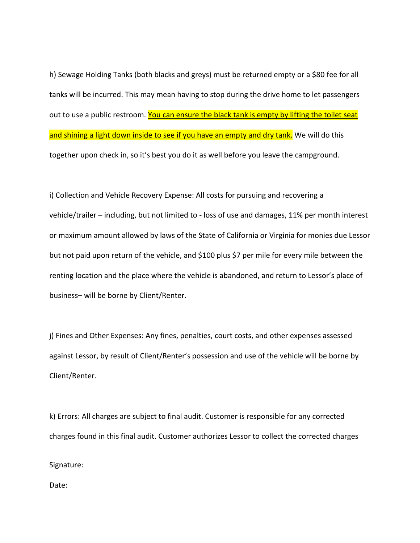h) Sewage Holding Tanks (both blacks and greys) must be returned empty or a \$80 fee for all tanks will be incurred. This may mean having to stop during the drive home to let passengers out to use a public restroom. You can ensure the black tank is empty by lifting the toilet seat and shining a light down inside to see if you have an empty and dry tank. We will do this together upon check in, so it's best you do it as well before you leave the campground.

i) Collection and Vehicle Recovery Expense: All costs for pursuing and recovering a vehicle/trailer – including, but not limited to - loss of use and damages, 11% per month interest or maximum amount allowed by laws of the State of California or Virginia for monies due Lessor but not paid upon return of the vehicle, and \$100 plus \$7 per mile for every mile between the renting location and the place where the vehicle is abandoned, and return to Lessor's place of business– will be borne by Client/Renter.

j) Fines and Other Expenses: Any fines, penalties, court costs, and other expenses assessed against Lessor, by result of Client/Renter's possession and use of the vehicle will be borne by Client/Renter.

k) Errors: All charges are subject to final audit. Customer is responsible for any corrected charges found in this final audit. Customer authorizes Lessor to collect the corrected charges

Signature: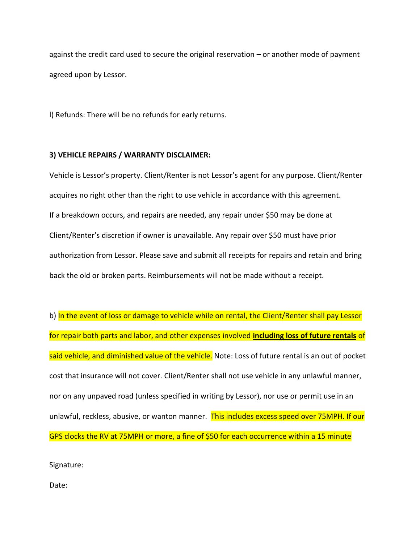against the credit card used to secure the original reservation – or another mode of payment agreed upon by Lessor.

l) Refunds: There will be no refunds for early returns.

#### **3) VEHICLE REPAIRS / WARRANTY DISCLAIMER:**

Vehicle is Lessor's property. Client/Renter is not Lessor's agent for any purpose. Client/Renter acquires no right other than the right to use vehicle in accordance with this agreement. If a breakdown occurs, and repairs are needed, any repair under \$50 may be done at Client/Renter's discretion if owner is unavailable. Any repair over \$50 must have prior authorization from Lessor. Please save and submit all receipts for repairs and retain and bring back the old or broken parts. Reimbursements will not be made without a receipt.

b) In the event of loss or damage to vehicle while on rental, the Client/Renter shall pay Lessor for repair both parts and labor, and other expenses involved **including loss of future rentals** of said vehicle, and diminished value of the vehicle. Note: Loss of future rental is an out of pocket cost that insurance will not cover. Client/Renter shall not use vehicle in any unlawful manner, nor on any unpaved road (unless specified in writing by Lessor), nor use or permit use in an unlawful, reckless, abusive, or wanton manner. This includes excess speed over 75MPH. If our GPS clocks the RV at 75MPH or more, a fine of \$50 for each occurrence within a 15 minute

Signature: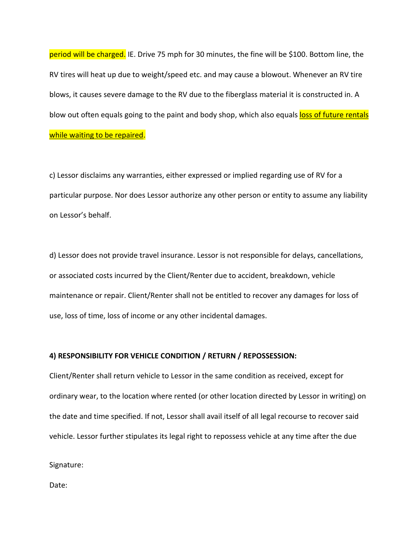period will be charged. IE. Drive 75 mph for 30 minutes, the fine will be \$100. Bottom line, the RV tires will heat up due to weight/speed etc. and may cause a blowout. Whenever an RV tire blows, it causes severe damage to the RV due to the fiberglass material it is constructed in. A blow out often equals going to the paint and body shop, which also equals loss of future rentals while waiting to be repaired.

c) Lessor disclaims any warranties, either expressed or implied regarding use of RV for a particular purpose. Nor does Lessor authorize any other person or entity to assume any liability on Lessor's behalf.

d) Lessor does not provide travel insurance. Lessor is not responsible for delays, cancellations, or associated costs incurred by the Client/Renter due to accident, breakdown, vehicle maintenance or repair. Client/Renter shall not be entitled to recover any damages for loss of use, loss of time, loss of income or any other incidental damages.

#### **4) RESPONSIBILITY FOR VEHICLE CONDITION / RETURN / REPOSSESSION:**

Client/Renter shall return vehicle to Lessor in the same condition as received, except for ordinary wear, to the location where rented (or other location directed by Lessor in writing) on the date and time specified. If not, Lessor shall avail itself of all legal recourse to recover said vehicle. Lessor further stipulates its legal right to repossess vehicle at any time after the due

Signature: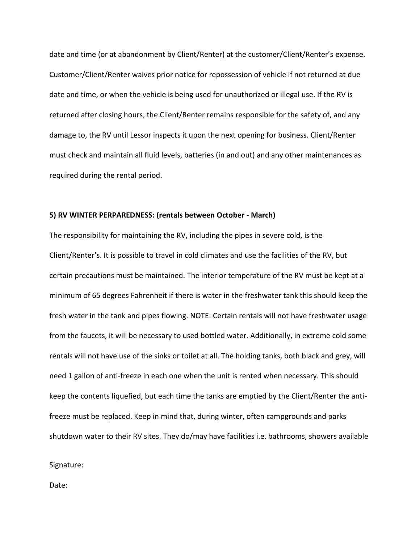date and time (or at abandonment by Client/Renter) at the customer/Client/Renter's expense. Customer/Client/Renter waives prior notice for repossession of vehicle if not returned at due date and time, or when the vehicle is being used for unauthorized or illegal use. If the RV is returned after closing hours, the Client/Renter remains responsible for the safety of, and any damage to, the RV until Lessor inspects it upon the next opening for business. Client/Renter must check and maintain all fluid levels, batteries (in and out) and any other maintenances as required during the rental period.

#### **5) RV WINTER PERPAREDNESS: (rentals between October - March)**

The responsibility for maintaining the RV, including the pipes in severe cold, is the Client/Renter's. It is possible to travel in cold climates and use the facilities of the RV, but certain precautions must be maintained. The interior temperature of the RV must be kept at a minimum of 65 degrees Fahrenheit if there is water in the freshwater tank this should keep the fresh water in the tank and pipes flowing. NOTE: Certain rentals will not have freshwater usage from the faucets, it will be necessary to used bottled water. Additionally, in extreme cold some rentals will not have use of the sinks or toilet at all. The holding tanks, both black and grey, will need 1 gallon of anti-freeze in each one when the unit is rented when necessary. This should keep the contents liquefied, but each time the tanks are emptied by the Client/Renter the antifreeze must be replaced. Keep in mind that, during winter, often campgrounds and parks shutdown water to their RV sites. They do/may have facilities i.e. bathrooms, showers available

Signature: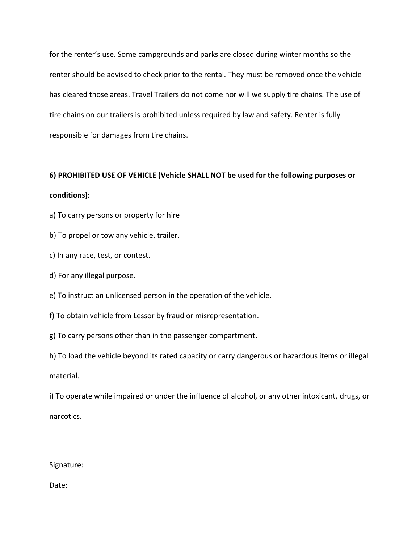for the renter's use. Some campgrounds and parks are closed during winter months so the renter should be advised to check prior to the rental. They must be removed once the vehicle has cleared those areas. Travel Trailers do not come nor will we supply tire chains. The use of tire chains on our trailers is prohibited unless required by law and safety. Renter is fully responsible for damages from tire chains.

# **6) PROHIBITED USE OF VEHICLE (Vehicle SHALL NOT be used for the following purposes or conditions):**

a) To carry persons or property for hire

b) To propel or tow any vehicle, trailer.

c) In any race, test, or contest.

d) For any illegal purpose.

e) To instruct an unlicensed person in the operation of the vehicle.

f) To obtain vehicle from Lessor by fraud or misrepresentation.

g) To carry persons other than in the passenger compartment.

h) To load the vehicle beyond its rated capacity or carry dangerous or hazardous items or illegal material.

i) To operate while impaired or under the influence of alcohol, or any other intoxicant, drugs, or narcotics.

#### Signature: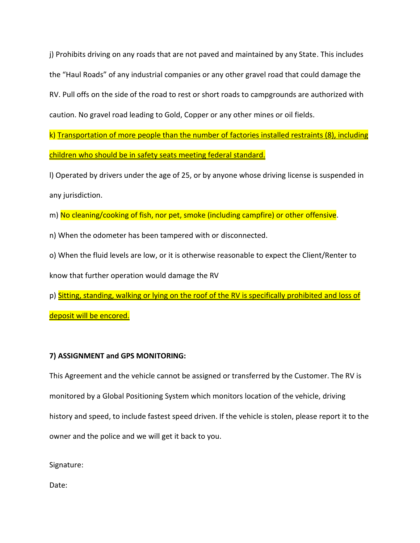j) Prohibits driving on any roads that are not paved and maintained by any State. This includes the "Haul Roads" of any industrial companies or any other gravel road that could damage the RV. Pull offs on the side of the road to rest or short roads to campgrounds are authorized with caution. No gravel road leading to Gold, Copper or any other mines or oil fields.

k) Transportation of more people than the number of factories installed restraints (8), including children who should be in safety seats meeting federal standard.

l) Operated by drivers under the age of 25, or by anyone whose driving license is suspended in any jurisdiction.

m) No cleaning/cooking of fish, nor pet, smoke (including campfire) or other offensive.

n) When the odometer has been tampered with or disconnected.

o) When the fluid levels are low, or it is otherwise reasonable to expect the Client/Renter to

know that further operation would damage the RV

p) Sitting, standing, walking or lying on the roof of the RV is specifically prohibited and loss of

deposit will be encored.

### **7) ASSIGNMENT and GPS MONITORING:**

This Agreement and the vehicle cannot be assigned or transferred by the Customer. The RV is monitored by a Global Positioning System which monitors location of the vehicle, driving history and speed, to include fastest speed driven. If the vehicle is stolen, please report it to the owner and the police and we will get it back to you.

Signature: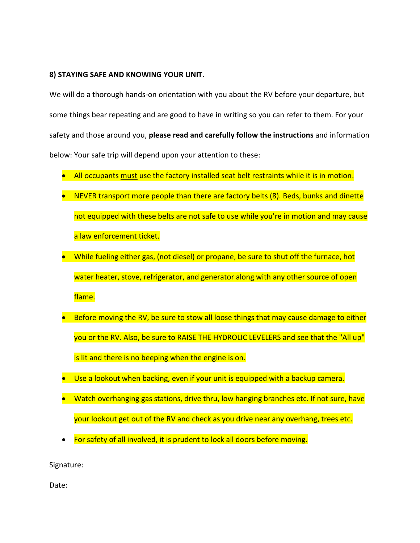#### **8) STAYING SAFE AND KNOWING YOUR UNIT.**

We will do a thorough hands-on orientation with you about the RV before your departure, but some things bear repeating and are good to have in writing so you can refer to them. For your safety and those around you, **please read and carefully follow the instructions** and information below: Your safe trip will depend upon your attention to these:

- All occupants must use the factory installed seat belt restraints while it is in motion.
- NEVER transport more people than there are factory belts (8). Beds, bunks and dinette not equipped with these belts are not safe to use while you're in motion and may cause a law enforcement ticket.
- While fueling either gas, (not diesel) or propane, be sure to shut off the furnace, hot water heater, stove, refrigerator, and generator along with any other source of open flame.
- Before moving the RV, be sure to stow all loose things that may cause damage to either you or the RV. Also, be sure to RAISE THE HYDROLIC LEVELERS and see that the "All up" is lit and there is no beeping when the engine is on.
- Use a lookout when backing, even if your unit is equipped with a backup camera.
- Watch overhanging gas stations, drive thru, low hanging branches etc. If not sure, have your lookout get out of the RV and check as you drive near any overhang, trees etc.
- For safety of all involved, it is prudent to lock all doors before moving.

Signature: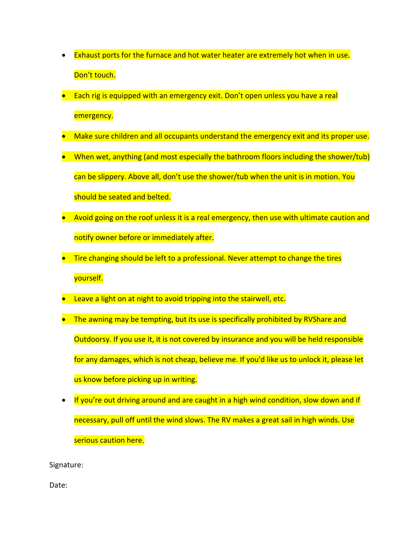- Exhaust ports for the furnace and hot water heater are extremely hot when in use. Don't touch.
- Each rig is equipped with an emergency exit. Don't open unless you have a real emergency.
- Make sure children and all occupants understand the emergency exit and its proper use.
- When wet, anything (and most especially the bathroom floors including the shower/tub) can be slippery. Above all, don't use the shower/tub when the unit is in motion. You should be seated and belted.
- Avoid going on the roof unless it is a real emergency, then use with ultimate caution and notify owner before or immediately after.
- Tire changing should be left to a professional. Never attempt to change the tires yourself.
- Leave a light on at night to avoid tripping into the stairwell, etc.
- The awning may be tempting, but its use is specifically prohibited by RVShare and Outdoorsy. If you use it, it is not covered by insurance and you will be held responsible for any damages, which is not cheap, believe me. If you'd like us to unlock it, please let us know before picking up in writing.
- If you're out driving around and are caught in a high wind condition, slow down and if necessary, pull off until the wind slows. The RV makes a great sail in high winds. Use serious caution here.

Signature: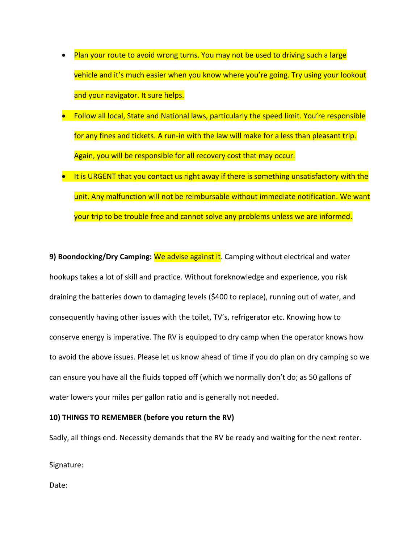- Plan your route to avoid wrong turns. You may not be used to driving such a large vehicle and it's much easier when you know where you're going. Try using your lookout and your navigator. It sure helps.
- Follow all local, State and National laws, particularly the speed limit. You're responsible for any fines and tickets. A run-in with the law will make for a less than pleasant trip. Again, you will be responsible for all recovery cost that may occur.
- It is URGENT that you contact us right away if there is something unsatisfactory with the unit. Any malfunction will not be reimbursable without immediate notification. We want your trip to be trouble free and cannot solve any problems unless we are informed.

**9) Boondocking/Dry Camping:** We advise against it. Camping without electrical and water hookups takes a lot of skill and practice. Without foreknowledge and experience, you risk draining the batteries down to damaging levels (\$400 to replace), running out of water, and consequently having other issues with the toilet, TV's, refrigerator etc. Knowing how to conserve energy is imperative. The RV is equipped to dry camp when the operator knows how to avoid the above issues. Please let us know ahead of time if you do plan on dry camping so we can ensure you have all the fluids topped off (which we normally don't do; as 50 gallons of water lowers your miles per gallon ratio and is generally not needed.

#### **10) THINGS TO REMEMBER (before you return the RV)**

Sadly, all things end. Necessity demands that the RV be ready and waiting for the next renter.

Signature: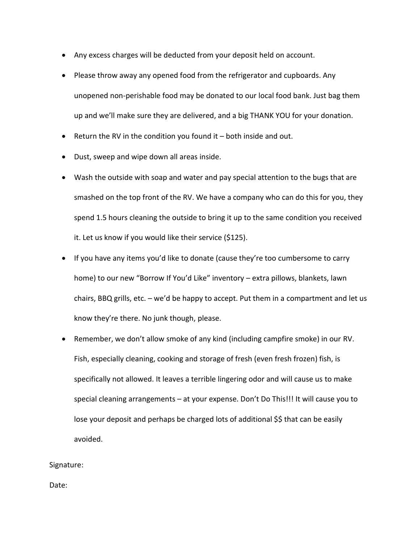- Any excess charges will be deducted from your deposit held on account.
- Please throw away any opened food from the refrigerator and cupboards. Any unopened non-perishable food may be donated to our local food bank. Just bag them up and we'll make sure they are delivered, and a big THANK YOU for your donation.
- Return the RV in the condition you found it  $-$  both inside and out.
- Dust, sweep and wipe down all areas inside.
- Wash the outside with soap and water and pay special attention to the bugs that are smashed on the top front of the RV. We have a company who can do this for you, they spend 1.5 hours cleaning the outside to bring it up to the same condition you received it. Let us know if you would like their service (\$125).
- If you have any items you'd like to donate (cause they're too cumbersome to carry home) to our new "Borrow If You'd Like" inventory - extra pillows, blankets, lawn chairs, BBQ grills, etc. – we'd be happy to accept. Put them in a compartment and let us know they're there. No junk though, please.
- Remember, we don't allow smoke of any kind (including campfire smoke) in our RV. Fish, especially cleaning, cooking and storage of fresh (even fresh frozen) fish, is specifically not allowed. It leaves a terrible lingering odor and will cause us to make special cleaning arrangements – at your expense. Don't Do This!!! It will cause you to lose your deposit and perhaps be charged lots of additional \$\$ that can be easily avoided.

#### Signature: